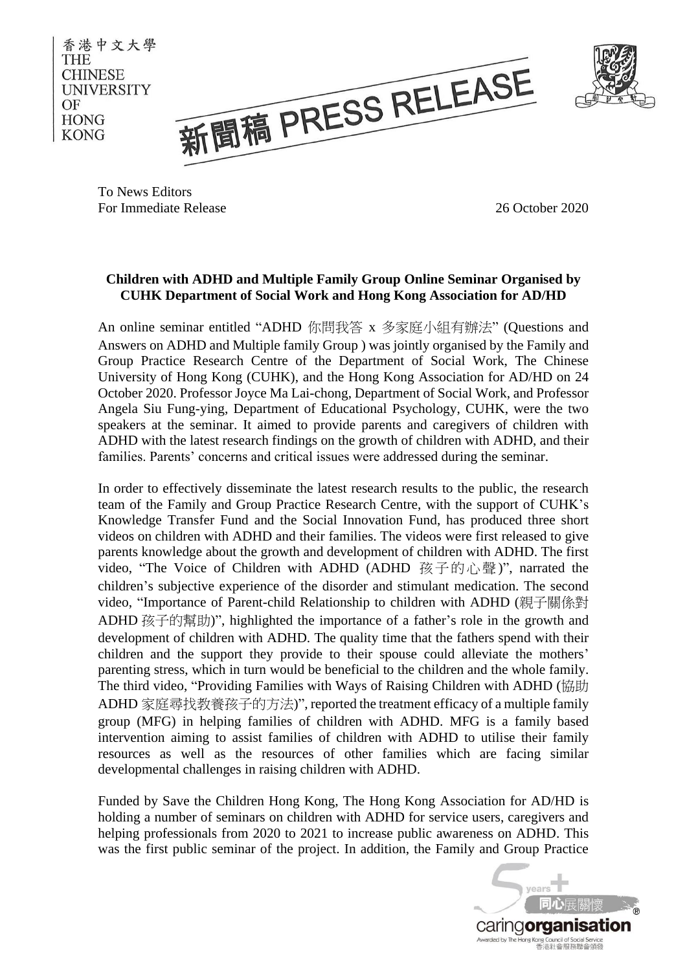

To News Editors For Immediate Release 26 October 2020

## **Children with ADHD and Multiple Family Group Online Seminar Organised by CUHK Department of Social Work and Hong Kong Association for AD/HD**

An online seminar entitled "ADHD 你問我答 x 多家庭小組有辦法" (Questions and Answers on ADHD and Multiple family Group ) was jointly organised by the Family and Group Practice Research Centre of the Department of Social Work, The Chinese University of Hong Kong (CUHK), and the Hong Kong Association for AD/HD on 24 October 2020. Professor Joyce Ma Lai-chong, Department of Social Work, and Professor Angela Siu Fung-ying, Department of Educational Psychology, CUHK, were the two speakers at the seminar. It aimed to provide parents and caregivers of children with ADHD with the latest research findings on the growth of children with ADHD, and their families. Parents' concerns and critical issues were addressed during the seminar.

In order to effectively disseminate the latest research results to the public, the research team of the Family and Group Practice Research Centre, with the support of CUHK's Knowledge Transfer Fund and the Social Innovation Fund, has produced three short videos on children with ADHD and their families. The videos were first released to give parents knowledge about the growth and development of children with ADHD. The first video, "The Voice of Children with ADHD (ADHD 孩子的心聲)", narrated the children's subjective experience of the disorder and stimulant medication. The second video, "Importance of Parent-child Relationship to children with ADHD (親子關係對 ADHD 孩子的幫助)", highlighted the importance of a father's role in the growth and development of children with ADHD. The quality time that the fathers spend with their children and the support they provide to their spouse could alleviate the mothers' parenting stress, which in turn would be beneficial to the children and the whole family. The third video, "Providing Families with Ways of Raising Children with ADHD (協助 ADHD 家庭尋找教養孩子的方法)", reported the treatment efficacy of a multiple family group (MFG) in helping families of children with ADHD. MFG is a family based intervention aiming to assist families of children with ADHD to utilise their family resources as well as the resources of other families which are facing similar developmental challenges in raising children with ADHD.

Funded by Save the Children Hong Kong, The Hong Kong Association for AD/HD is holding a number of seminars on children with ADHD for service users, caregivers and helping professionals from 2020 to 2021 to increase public awareness on ADHD. This was the first public seminar of the project. In addition, the Family and Group Practice